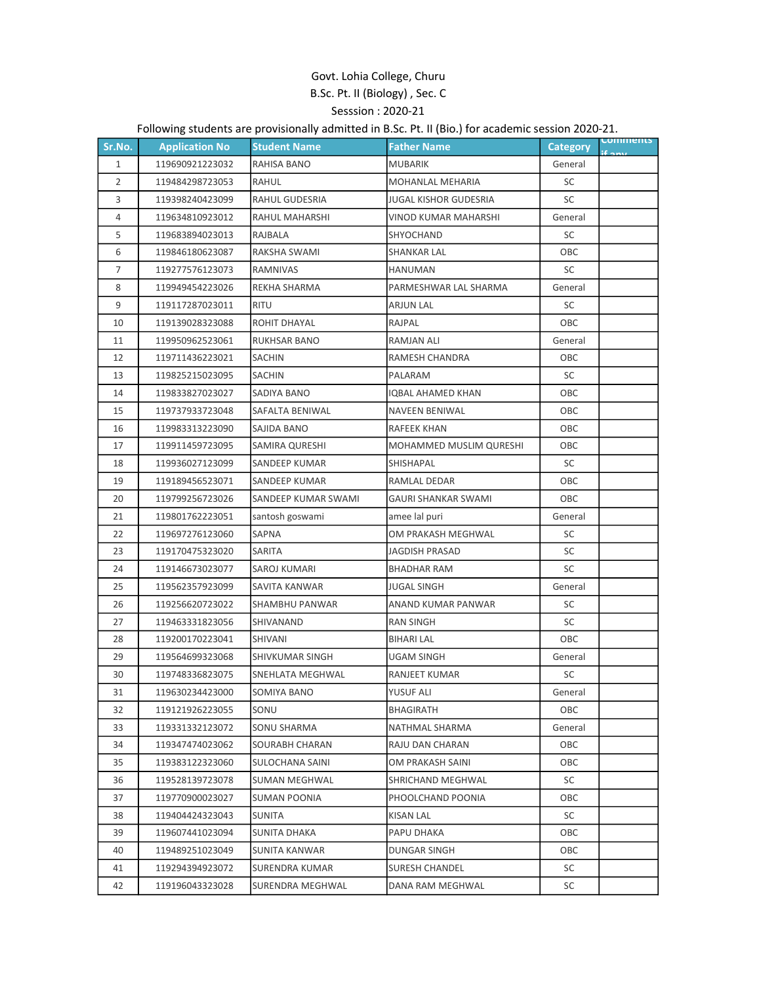## Govt. Lohia College, Churu B.Sc. Pt. II (Biology) , Sec. C Sesssion : 2020-21

## Following students are provisionally admitted in B.Sc. Pt. II (Bio.) for academic session 2020-21.

| Sr.No.         | <b>Application No</b> | <b>Student Name</b>   | <b>Father Name</b>         | <b>Category</b> | <b>Comments</b> |
|----------------|-----------------------|-----------------------|----------------------------|-----------------|-----------------|
| $\mathbf{1}$   | 119690921223032       | RAHISA BANO           | <b>MUBARIK</b>             | General         |                 |
| 2              | 119484298723053       | RAHUL                 | <b>MOHANLAL MEHARIA</b>    | SC              |                 |
| 3              | 119398240423099       | <b>RAHUL GUDESRIA</b> | JUGAL KISHOR GUDESRIA      | SC              |                 |
| $\overline{4}$ | 119634810923012       | RAHUL MAHARSHI        | VINOD KUMAR MAHARSHI       | General         |                 |
| 5              | 119683894023013       | RAJBALA               | SHYOCHAND                  | SC              |                 |
| 6              | 119846180623087       | RAKSHA SWAMI          | <b>SHANKAR LAL</b>         | OBC             |                 |
| $\overline{7}$ | 119277576123073       | RAMNIVAS              | HANUMAN                    | SC              |                 |
| 8              | 119949454223026       | REKHA SHARMA          | PARMESHWAR LAL SHARMA      | General         |                 |
| 9              | 119117287023011       | <b>RITU</b>           | <b>ARJUN LAL</b>           | <b>SC</b>       |                 |
| 10             | 119139028323088       | ROHIT DHAYAL          | RAJPAL                     | OBC             |                 |
| 11             | 119950962523061       | RUKHSAR BANO          | <b>RAMJAN ALI</b>          | General         |                 |
| 12             | 119711436223021       | SACHIN                | RAMESH CHANDRA             | OBC             |                 |
| 13             | 119825215023095       | SACHIN                | PALARAM                    | SC              |                 |
| 14             | 119833827023027       | SADIYA BANO           | <b>IQBAL AHAMED KHAN</b>   | OBC             |                 |
| 15             | 119737933723048       | SAFALTA BENIWAL       | NAVEEN BENIWAL             | OBC             |                 |
| 16             | 119983313223090       | SAJIDA BANO           | RAFEEK KHAN                | OBC             |                 |
| 17             | 119911459723095       | SAMIRA QURESHI        | MOHAMMED MUSLIM QURESHI    | ОВС             |                 |
| 18             | 119936027123099       | <b>SANDEEP KUMAR</b>  | <b>SHISHAPAL</b>           | SC              |                 |
| 19             | 119189456523071       | SANDEEP KUMAR         | RAMLAL DEDAR               | OBC             |                 |
| 20             | 119799256723026       | SANDEEP KUMAR SWAMI   | <b>GAURI SHANKAR SWAMI</b> | OBC             |                 |
| 21             | 119801762223051       | santosh goswami       | amee lal puri              | General         |                 |
| 22             | 119697276123060       | SAPNA                 | OM PRAKASH MEGHWAL         | SC              |                 |
| 23             | 119170475323020       | SARITA                | <b>JAGDISH PRASAD</b>      | <b>SC</b>       |                 |
| 24             | 119146673023077       | SAROJ KUMARI          | <b>BHADHAR RAM</b>         | SC              |                 |
| 25             | 119562357923099       | SAVITA KANWAR         | <b>JUGAL SINGH</b>         | General         |                 |
| 26             | 119256620723022       | SHAMBHU PANWAR        | ANAND KUMAR PANWAR         | SC              |                 |
| 27             | 119463331823056       | SHIVANAND             | <b>RAN SINGH</b>           | SC              |                 |
| 28             | 119200170223041       | SHIVANI               | <b>BIHARI LAL</b>          | OBC             |                 |
| 29             | 119564699323068       | SHIVKUMAR SINGH       | <b>UGAM SINGH</b>          | General         |                 |
| 30             | 119748336823075       | SNEHLATA MEGHWAL      | RANJEET KUMAR              | SC              |                 |
| 31             | 119630234423000       | SOMIYA BANO           | YUSUF ALI                  | General         |                 |
| 32             | 119121926223055       | SONU                  | BHAGIRATH                  | ОВС             |                 |
| 33             | 119331332123072       | SONU SHARMA           | NATHMAL SHARMA             | General         |                 |
| 34             | 119347474023062       | SOURABH CHARAN        | RAJU DAN CHARAN            | OBC             |                 |
| 35             | 119383122323060       | SULOCHANA SAINI       | OM PRAKASH SAINI           | ОВС             |                 |
| 36             | 119528139723078       | SUMAN MEGHWAL         | SHRICHAND MEGHWAL          | SC              |                 |
| 37             | 119770900023027       | <b>SUMAN POONIA</b>   | PHOOLCHAND POONIA          | ОВС             |                 |
| 38             | 119404424323043       | SUNITA                | KISAN LAL                  | SC              |                 |
| 39             | 119607441023094       | <b>SUNITA DHAKA</b>   | PAPU DHAKA                 | ОВС             |                 |
| 40             | 119489251023049       | SUNITA KANWAR         | DUNGAR SINGH               | ОВС             |                 |
| 41             | 119294394923072       | SURENDRA KUMAR        | SURESH CHANDEL             | SC              |                 |
| 42             | 119196043323028       | SURENDRA MEGHWAL      | DANA RAM MEGHWAL           | SC              |                 |